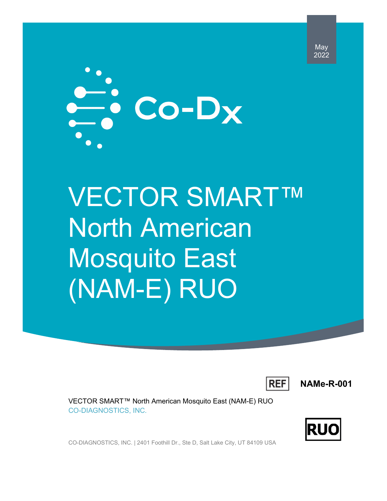

# VECTOR SMART™ North American Mosquito East (NAM-E) RUO



**NAMe-R-001**

VECTOR SMART™ North American Mosquito East (NAM-E) RUO CO-DIAGNOSTICS, INC.



CO-DIAGNOSTICS, INC. | 2401 Foothill Dr., Ste D, Salt Lake City, UT 84109 USA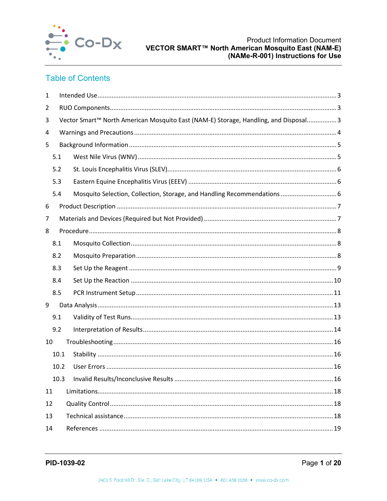

## **Table of Contents**

| $\mathbf{1}$ |                                                                                      |                                                                          |  |  |  |  |  |
|--------------|--------------------------------------------------------------------------------------|--------------------------------------------------------------------------|--|--|--|--|--|
| 2            |                                                                                      |                                                                          |  |  |  |  |  |
| 3            | Vector Smart™ North American Mosquito East (NAM-E) Storage, Handling, and Disposal 3 |                                                                          |  |  |  |  |  |
| 4            |                                                                                      |                                                                          |  |  |  |  |  |
| 5            |                                                                                      |                                                                          |  |  |  |  |  |
|              | 5.1                                                                                  |                                                                          |  |  |  |  |  |
|              | 5.2                                                                                  |                                                                          |  |  |  |  |  |
|              | 5.3                                                                                  |                                                                          |  |  |  |  |  |
|              | 5.4                                                                                  | Mosquito Selection, Collection, Storage, and Handling Recommendations  6 |  |  |  |  |  |
| 6            |                                                                                      |                                                                          |  |  |  |  |  |
| 7            |                                                                                      |                                                                          |  |  |  |  |  |
| 8            |                                                                                      |                                                                          |  |  |  |  |  |
|              | 8.1                                                                                  |                                                                          |  |  |  |  |  |
|              | 8.2                                                                                  |                                                                          |  |  |  |  |  |
|              | 8.3                                                                                  |                                                                          |  |  |  |  |  |
|              | 8.4                                                                                  |                                                                          |  |  |  |  |  |
|              | 8.5                                                                                  |                                                                          |  |  |  |  |  |
| 9            |                                                                                      |                                                                          |  |  |  |  |  |
|              | 9.1                                                                                  |                                                                          |  |  |  |  |  |
|              | 9.2                                                                                  |                                                                          |  |  |  |  |  |
| 10           |                                                                                      |                                                                          |  |  |  |  |  |
|              | 10.1                                                                                 |                                                                          |  |  |  |  |  |
|              | 10.2                                                                                 |                                                                          |  |  |  |  |  |
|              | 10.3                                                                                 |                                                                          |  |  |  |  |  |
| 11           |                                                                                      |                                                                          |  |  |  |  |  |
| 12           |                                                                                      |                                                                          |  |  |  |  |  |
| 13           |                                                                                      |                                                                          |  |  |  |  |  |
| 14           |                                                                                      |                                                                          |  |  |  |  |  |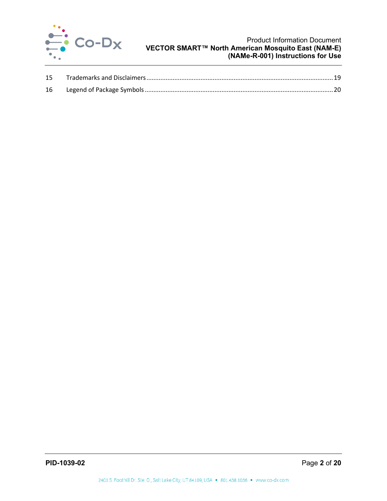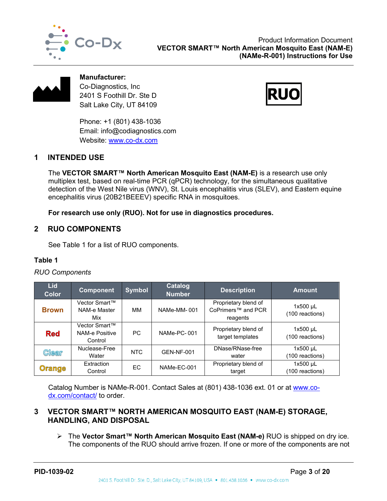



**Manufacturer:** Co-Diagnostics, Inc 2401 S Foothill Dr. Ste D Salt Lake City, UT 84109

Phone: +1 (801) 438-1036 Email: info@codiagnostics.com Website: [www.co-dx.com](http://www.co-dx.com/)

## <span id="page-3-0"></span>**1 INTENDED USE**

The **VECTOR SMART™ North American Mosquito East (NAM-E)** is a research use only multiplex test, based on real-time PCR (qPCR) technology, for the simultaneous qualitative detection of the West Nile virus (WNV), St. Louis encephalitis virus (SLEV), and Eastern equine encephalitis virus (20B21BEEEV) specific RNA in mosquitoes.

**For research use only (RUO). Not for use in diagnostics procedures.** 

## <span id="page-3-1"></span>**2 RUO COMPONENTS**

See [Table 1](#page-3-3) for a list of RUO components.

## <span id="page-3-3"></span>**Table 1**

#### *RUO Components*

| <b>Lid</b><br><b>Color</b> | <b>Component</b>                           | <b>Symbol</b> | <b>Catalog</b><br><b>Number</b> | <b>Description</b>                                                 | <b>Amount</b>                 |
|----------------------------|--------------------------------------------|---------------|---------------------------------|--------------------------------------------------------------------|-------------------------------|
| <b>Brown</b>               | Vector Smart™<br>NAM-e Master<br>Mix       | ΜМ            | NAMe-MM-001                     | Proprietary blend of<br>CoPrimers <sup>™</sup> and PCR<br>reagents | $1x500$ µL<br>(100 reactions) |
| <b>Red</b>                 | Vector Smart™<br>NAM-e Positive<br>Control | PC.           | NAMe-PC-001                     | Proprietary blend of<br>target templates                           | $1x500$ µL<br>(100 reactions) |
| <b>Clear</b>               | Nuclease-Free<br>Water                     | <b>NTC</b>    | <b>GEN-NF-001</b>               | DNase/RNase-free<br>water                                          | $1x500$ µL<br>(100 reactions) |
| <b>Orange</b>              | Extraction<br>Control                      | EC            | NAMe-EC-001                     | Proprietary blend of<br>target                                     | $1x500$ µL<br>(100 reactions) |

Catalog Number is NAMe-R-001. Contact Sales at (801) 438-1036 ext. 01 or at [www.co](http://www.co-dx.com/contact/)[dx.com/contact/](http://www.co-dx.com/contact/) to order.

## <span id="page-3-2"></span>**3 VECTOR SMART™ NORTH AMERICAN MOSQUITO EAST (NAM-E) STORAGE, HANDLING, AND DISPOSAL**

 The **Vector Smart™ North American Mosquito East (NAM-e)** RUO is shipped on dry ice. The components of the RUO should arrive frozen. If one or more of the components are not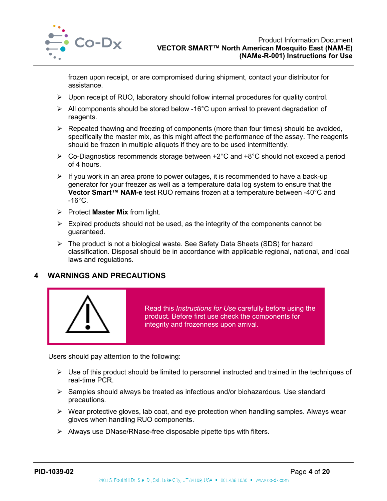

frozen upon receipt, or are compromised during shipment, contact your distributor for assistance.

- $\triangleright$  Upon receipt of RUO, laboratory should follow internal procedures for quality control.
- All components should be stored below -16°C upon arrival to prevent degradation of reagents.
- $\triangleright$  Repeated thawing and freezing of components (more than four times) should be avoided, specifically the master mix, as this might affect the performance of the assay. The reagents should be frozen in multiple aliquots if they are to be used intermittently.
- Co-Diagnostics recommends storage between +2°C and +8°C should not exceed a period of 4 hours.
- $\triangleright$  If you work in an area prone to power outages, it is recommended to have a back-up generator for your freezer as well as a temperature data log system to ensure that the **Vector Smart™ NAM-e** test RUO remains frozen at a temperature between -40°C and  $-16^{\circ}$ C.
- Protect **Master Mix** from light.
- $\triangleright$  Expired products should not be used, as the integrity of the components cannot be guaranteed.
- $\triangleright$  The product is not a biological waste. See Safety Data Sheets (SDS) for hazard classification. Disposal should be in accordance with applicable regional, national, and local laws and regulations.

## <span id="page-4-0"></span>**4 WARNINGS AND PRECAUTIONS**



Read this *Instructions for Use* carefully before using the product. Before first use check the components for integrity and frozenness upon arrival.

Users should pay attention to the following:

- $\triangleright$  Use of this product should be limited to personnel instructed and trained in the techniques of real-time PCR.
- $\triangleright$  Samples should always be treated as infectious and/or biohazardous. Use standard precautions.
- $\triangleright$  Wear protective gloves, lab coat, and eye protection when handling samples. Always wear gloves when handling RUO components.
- $\triangleright$  Always use DNase/RNase-free disposable pipette tips with filters.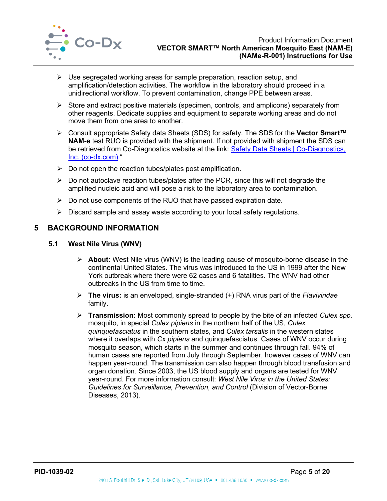

- $\triangleright$  Use segregated working areas for sample preparation, reaction setup, and amplification/detection activities. The workflow in the laboratory should proceed in a unidirectional workflow. To prevent contamination, change PPE between areas.
- $\triangleright$  Store and extract positive materials (specimen, controls, and amplicons) separately from other reagents. Dedicate supplies and equipment to separate working areas and do not move them from one area to another.
- Consult appropriate Safety data Sheets (SDS) for safety. The SDS for the **Vector Smart™ NAM-e** test RUO is provided with the shipment. If not provided with shipment the SDS can be retrieved from Co-Diagnostics website at the link: Safety Data Sheets | Co-Diagnostics, [Inc. \(co-dx.com\)](http://codiagnostics.com/resources/safety-data-sheets/) "
- $\triangleright$  Do not open the reaction tubes/plates post amplification.
- $\triangleright$  Do not autoclave reaction tubes/plates after the PCR, since this will not degrade the amplified nucleic acid and will pose a risk to the laboratory area to contamination.
- $\triangleright$  Do not use components of the RUO that have passed expiration date.
- $\triangleright$  Discard sample and assay waste according to your local safety regulations.

#### <span id="page-5-0"></span>**5 BACKGROUND INFORMATION**

#### <span id="page-5-1"></span>**5.1 West Nile Virus (WNV)**

- **About:** West Nile virus (WNV) is the leading cause of mosquito-borne disease in the continental United States. The virus was introduced to the US in 1999 after the New York outbreak where there were 62 cases and 6 fatalities. The WNV had other outbreaks in the US from time to time.
- **The virus:** is an enveloped, single-stranded (+) RNA virus part of the *Flaviviridae* family.
- **Transmission:** Most commonly spread to people by the bite of an infected *Culex spp.* mosquito, in special *Culex pipiens* in the northern half of the US, *Culex quinquefasciatus* in the southern states, and *Culex tarsalis* in the western states where it overlaps with *Cx pipiens* and quinquefasciatus. Cases of WNV occur during mosquito season, which starts in the summer and continues through fall. 94% of human cases are reported from July through September, however cases of WNV can happen year-round. The transmission can also happen through blood transfusion and organ donation. Since 2003, the US blood supply and organs are tested for WNV year-round. For more information consult: *West Nile Virus in the United States: Guidelines for Surveillance, Prevention, and Control* (Division of Vector-Borne Diseases, 2013).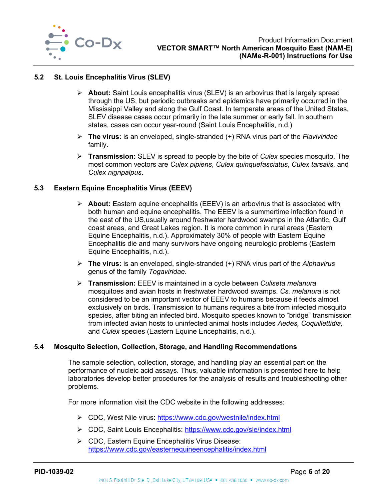

#### <span id="page-6-0"></span>**5.2 St. Louis Encephalitis Virus (SLEV)**

- **About:** Saint Louis encephalitis virus (SLEV) is an arbovirus that is largely spread through the US, but periodic outbreaks and epidemics have primarily occurred in the Mississippi Valley and along the Gulf Coast. In temperate areas of the United States, SLEV disease cases occur primarily in the late summer or early fall. In southern states, cases can occur year-round (Saint Louis Encephalitis, n.d.)
- **The virus:** is an enveloped, single-stranded (+) RNA virus part of the *Flaviviridae* family.
- **Transmission:** SLEV is spread to people by the bite of *Culex* species mosquito. The most common vectors are *Culex pipiens*, *Culex quinquefasciatus*, *Culex tarsalis*, and *Culex nigripalpus*.

#### <span id="page-6-1"></span>**5.3 Eastern Equine Encephalitis Virus (EEEV)**

- **About:** Eastern equine encephalitis (EEEV) is an arbovirus that is associated with both human and equine encephalitis. The EEEV is a summertime infection found in the east of the US,usually around freshwater hardwood swamps in the Atlantic, Gulf coast areas, and Great Lakes region. It is more common in rural areas (Eastern Equine Encephalitis, n.d.). Approximately 30% of people with Eastern Equine Encephalitis die and many survivors have ongoing neurologic problems (Eastern Equine Encephalitis, n.d.).
- **The virus:** is an enveloped, single-stranded (+) RNA virus part of the *Alphavirus*  genus of the family *Togaviridae*.
- **Transmission:** EEEV is maintained in a cycle between *Culiseta melanura*  mosquitoes and avian hosts in freshwater hardwood swamps. *Cs. melanura* is not considered to be an important vector of EEEV to humans because it feeds almost exclusively on birds. Transmission to humans requires a bite from infected mosquito species, after biting an infected bird. Mosquito species known to "bridge" transmission from infected avian hosts to uninfected animal hosts includes *Aedes, Coquillettidia,*  and *Culex* species (Eastern Equine Encephalitis, n.d.).

#### <span id="page-6-2"></span>**5.4 Mosquito Selection, Collection, Storage, and Handling Recommendations**

The sample selection, collection, storage, and handling play an essential part on the performance of nucleic acid assays. Thus, valuable information is presented here to help laboratories develop better procedures for the analysis of results and troubleshooting other problems.

For more information visit the CDC website in the following addresses:

- CDC, West Nile virus:<https://www.cdc.gov/westnile/index.html>
- CDC, Saint Louis Encephalitis:<https://www.cdc.gov/sle/index.html>
- CDC, Eastern Equine Encephalitis Virus Disease: <https://www.cdc.gov/easternequineencephalitis/index.html>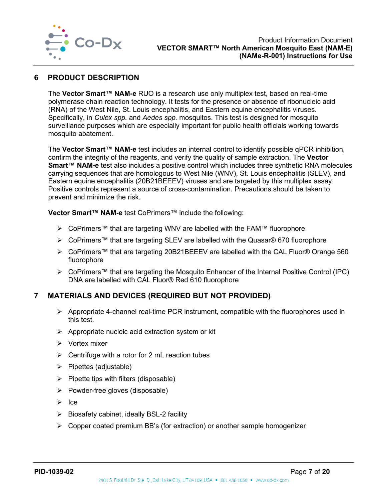

## <span id="page-7-0"></span>**6 PRODUCT DESCRIPTION**

The **Vector Smart™ NAM-e** RUO is a research use only multiplex test, based on real-time polymerase chain reaction technology. It tests for the presence or absence of ribonucleic acid (RNA) of the West Nile, St. Louis encephalitis, and Eastern equine encephalitis viruses. Specifically, in *Culex spp.* and *Aedes spp.* mosquitos. This test is designed for mosquito surveillance purposes which are especially important for public health officials working towards mosquito abatement.

The **Vector Smart™ NAM-e** test includes an internal control to identify possible qPCR inhibition, confirm the integrity of the reagents, and verify the quality of sample extraction. The **Vector Smart™ NAM-e** test also includes a positive control which includes three synthetic RNA molecules carrying sequences that are homologous to West Nile (WNV), St. Louis encephalitis (SLEV), and Eastern equine encephalitis (20B21BEEEV) viruses and are targeted by this multiplex assay. Positive controls represent a source of cross-contamination. Precautions should be taken to prevent and minimize the risk.

**Vector Smart™ NAM-e** test CoPrimers™ include the following:

- CoPrimers™ that are targeting WNV are labelled with the FAM™ fluorophore
- > CoPrimers™ that are targeting SLEV are labelled with the Quasar® 670 fluorophore
- CoPrimers™ that are targeting 20B21BEEEV are labelled with the CAL Fluor® Orange 560 fluorophore
- CoPrimers™ that are targeting the Mosquito Enhancer of the Internal Positive Control (IPC) DNA are labelled with CAL Fluor® Red 610 fluorophore

## <span id="page-7-1"></span>**7 MATERIALS AND DEVICES (REQUIRED BUT NOT PROVIDED)**

- $\triangleright$  Appropriate 4-channel real-time PCR instrument, compatible with the fluorophores used in this test.
- $\triangleright$  Appropriate nucleic acid extraction system or kit
- $\triangleright$  Vortex mixer
- $\triangleright$  Centrifuge with a rotor for 2 mL reaction tubes
- $\triangleright$  Pipettes (adjustable)
- $\triangleright$  Pipette tips with filters (disposable)
- $\triangleright$  Powder-free gloves (disposable)
- $\triangleright$  Ice
- $\triangleright$  Biosafety cabinet, ideally BSL-2 facility
- $\triangleright$  Copper coated premium BB's (for extraction) or another sample homogenizer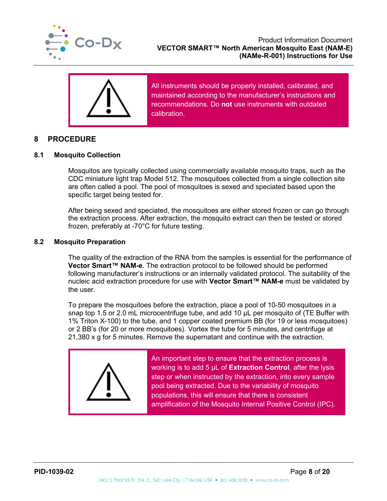



All instruments should be properly installed, calibrated, and maintained according to the manufacturer's instructions and recommendations. Do **not** use instruments with outdated calibration.

## <span id="page-8-0"></span>**8 PROCEDURE**

#### <span id="page-8-1"></span>**8.1 Mosquito Collection**

Mosquitos are typically collected using commercially available mosquito traps, such as the CDC miniature light trap Model 512. The mosquitoes collected from a single collection site are often called a pool. The pool of mosquitoes is sexed and speciated based upon the specific target being tested for.

After being sexed and speciated, the mosquitoes are either stored frozen or can go through the extraction process. After extraction, the mosquito extract can then be tested or stored frozen, preferably at -70°C for future testing.

#### <span id="page-8-2"></span>**8.2 Mosquito Preparation**

The quality of the extraction of the RNA from the samples is essential for the performance of **Vector Smart™ NAM-e**. The extraction protocol to be followed should be performed following manufacturer's instructions or an internally validated protocol. The suitability of the nucleic acid extraction procedure for use with **Vector Smart™ NAM-e** must be validated by the user.

To prepare the mosquitoes before the extraction, place a pool of 10-50 mosquitoes in a snap top 1.5 or 2.0 mL microcentrifuge tube, and add 10 μL per mosquito of (TE Buffer with 1% Triton X-100) to the tube, and 1 copper coated premium BB (for 19 or less mosquitoes) or 2 BB's (for 20 or more mosquitoes). Vortex the tube for 5 minutes, and centrifuge at 21,380 x g for 5 minutes. Remove the supernatant and continue with the extraction.



An important step to ensure that the extraction process is working is to add 5 µL of **Extraction Control**, after the lysis step or when instructed by the extraction, into every sample pool being extracted. Due to the variability of mosquito populations, this will ensure that there is consistent amplification of the Mosquito Internal Positive Control (IPC).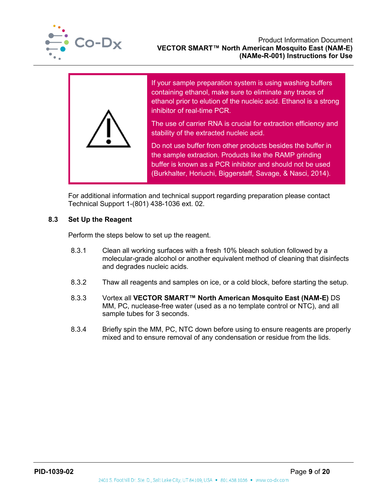



If your sample preparation system is using washing buffers containing ethanol, make sure to eliminate any traces of ethanol prior to elution of the nucleic acid. Ethanol is a strong inhibitor of real-time PCR.

The use of carrier RNA is crucial for extraction efficiency and stability of the extracted nucleic acid.

Do not use buffer from other products besides the buffer in the sample extraction. Products like the RAMP grinding buffer is known as a PCR inhibitor and should not be used (Burkhalter, Horiuchi, Biggerstaff, Savage, & Nasci, 2014).

For additional information and technical support regarding preparation please contact Technical Support 1-(801) 438-1036 ext. 02.

## <span id="page-9-0"></span>**8.3 Set Up the Reagent**

Perform the steps below to set up the reagent.

- 8.3.1 Clean all working surfaces with a fresh 10% bleach solution followed by a molecular-grade alcohol or another equivalent method of cleaning that disinfects and degrades nucleic acids.
- 8.3.2 Thaw all reagents and samples on ice, or a cold block, before starting the setup.
- 8.3.3 Vortex all **VECTOR SMART™ North American Mosquito East (NAM-E)** DS MM, PC, nuclease-free water (used as a no template control or NTC), and all sample tubes for 3 seconds.
- 8.3.4 Briefly spin the MM, PC, NTC down before using to ensure reagents are properly mixed and to ensure removal of any condensation or residue from the lids.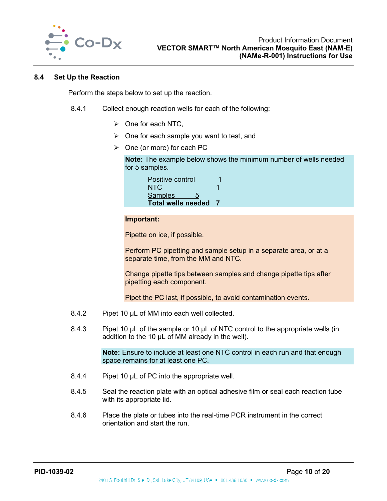

#### <span id="page-10-0"></span>**8.4 Set Up the Reaction**

Perform the steps below to set up the reaction.

- 8.4.1 Collect enough reaction wells for each of the following:
	- $\triangleright$  One for each NTC,
	- $\triangleright$  One for each sample you want to test, and
	- $\triangleright$  One (or more) for each PC

**Note:** The example below shows the minimum number of wells needed for 5 samples.

| Positive control          |  |
|---------------------------|--|
| NTC.                      |  |
| <b>Samples</b><br>5       |  |
| <b>Total wells needed</b> |  |

#### **Important:**

Pipette on ice, if possible.

Perform PC pipetting and sample setup in a separate area, or at a separate time, from the MM and NTC.

Change pipette tips between samples and change pipette tips after pipetting each component.

Pipet the PC last, if possible, to avoid contamination events.

- 8.4.2 Pipet 10 µL of MM into each well collected.
- 8.4.3 Pipet 10 µL of the sample or 10 µL of NTC control to the appropriate wells (in addition to the 10 µL of MM already in the well).

**Note:** Ensure to include at least one NTC control in each run and that enough space remains for at least one PC.

- 8.4.4 Pipet 10 µL of PC into the appropriate well.
- 8.4.5 Seal the reaction plate with an optical adhesive film or seal each reaction tube with its appropriate lid.
- 8.4.6 Place the plate or tubes into the real-time PCR instrument in the correct orientation and start the run.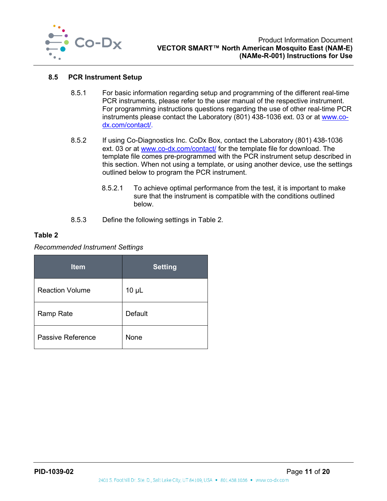

#### <span id="page-11-0"></span>**8.5 PCR Instrument Setup**

- 8.5.1 For basic information regarding setup and programming of the different real-time PCR instruments, please refer to the user manual of the respective instrument. For programming instructions questions regarding the use of other real-time PCR instruments please contact the Laboratory (801) 438-1036 ext. 03 or at [www.co](http://www.co-dx.com/contact/)[dx.com/contact/.](http://www.co-dx.com/contact/)
- 8.5.2 If using Co-Diagnostics Inc. CoDx Box, contact the Laboratory (801) 438-1036 ext. 03 or at [www.co-dx.com/contact/](http://www.co-dx.com/contact/) for the template file for download. The template file comes pre-programmed with the PCR instrument setup described in this section. When not using a template, or using another device, use the settings outlined below to program the PCR instrument.
	- 8.5.2.1 To achieve optimal performance from the test, it is important to make sure that the instrument is compatible with the conditions outlined below.
- 8.5.3 Define the following settings in [Table 2.](#page-11-1)

#### <span id="page-11-1"></span>**Table 2**

#### *Recommended Instrument Settings*

| <b>Item</b>            | <b>Setting</b> |
|------------------------|----------------|
| <b>Reaction Volume</b> | $10 \mu L$     |
| Ramp Rate              | Default        |
| Passive Reference      | None           |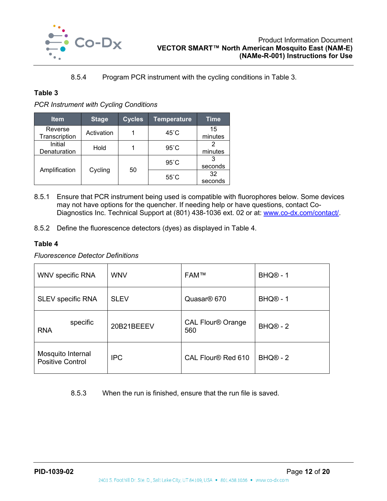

#### 8.5.4 Program PCR instrument with the cycling conditions in [Table 3.](#page-12-0)

## <span id="page-12-0"></span>**Table 3**

*PCR Instrument with Cycling Conditions*

| <b>Item</b>              | <b>Stage</b> | <b>Cycles</b> | <b>Temperature</b> | Time          |
|--------------------------|--------------|---------------|--------------------|---------------|
| Reverse<br>Transcription | Activation   |               | $45^{\circ}$ C     | 15<br>minutes |
| Initial<br>Denaturation  | Hold         |               | $95^{\circ}$ C     | minutes       |
|                          | Cycling      | 50            | $95^{\circ}$ C     | seconds       |
| Amplification            |              |               | $55^{\circ}$ C     | 32<br>seconds |

- 8.5.1 Ensure that PCR instrument being used is compatible with fluorophores below. Some devices may not have options for the quencher. If needing help or have questions, contact Co-Diagnostics Inc. Technical Support at (801) 438-1036 ext. 02 or at: [www.co-dx.com/contact/.](http://www.co-dx.com/contact/)
- 8.5.2 Define the fluorescence detectors (dyes) as displayed in [Table 4.](#page-12-1)

## <span id="page-12-1"></span>**Table 4**

*Fluorescence Detector Definitions*

| <b>WNV specific RNA</b>                      | <b>WNV</b>  | <b>FAM™</b>                     | BHQ <sup>®</sup> - 1       |
|----------------------------------------------|-------------|---------------------------------|----------------------------|
| SLEV specific RNA                            | <b>SLEV</b> | Quasar <sup>®</sup> 670         | <b>BHQ<sup>®</sup> - 1</b> |
| specific<br><b>RNA</b>                       | 20B21BEEEV  | <b>CAL Flour® Orange</b><br>560 | $BHQ@ - 2$                 |
| Mosquito Internal<br><b>Positive Control</b> | <b>IPC</b>  | CAL Flour <sup>®</sup> Red 610  | $BHQ@ - 2$                 |

## 8.5.3 When the run is finished, ensure that the run file is saved.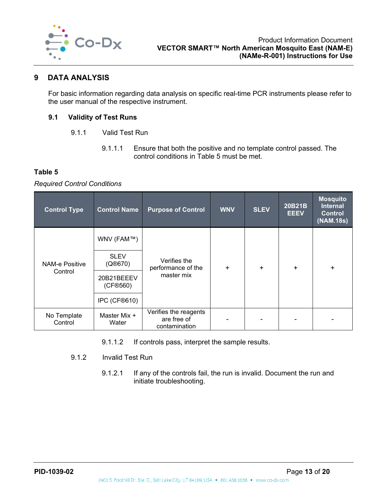

#### <span id="page-13-0"></span>**9 DATA ANALYSIS**

For basic information regarding data analysis on specific real-time PCR instruments please refer to the user manual of the respective instrument.

#### <span id="page-13-1"></span>**9.1 Validity of Test Runs**

- 9.1.1 Valid Test Run
	- 9.1.1.1 Ensure that both the positive and no template control passed. The control conditions in [Table 5](#page-13-2) must be met.

#### <span id="page-13-2"></span>**Table 5**

#### *Required Control Conditions*

| <b>Control Type</b>    | <b>Control Name</b>    | <b>Purpose of Control</b>                             | <b>WNV</b> | <b>SLEV</b> | 20B21B<br><b>EEEV</b> | <b>Mosquito</b><br><b>Internal</b><br><b>Control</b><br>(NAM.18s) |
|------------------------|------------------------|-------------------------------------------------------|------------|-------------|-----------------------|-------------------------------------------------------------------|
|                        | WNV (FAM™)             |                                                       | $\ddot{}$  | $\ddot{}$   | $\ddot{}$             | $+$                                                               |
| <b>NAM-e Positive</b>  | <b>SLEV</b><br>(Q@670) | Verifies the<br>performance of the                    |            |             |                       |                                                                   |
| Control                | 20B21BEEEV<br>(CF®560) | master mix                                            |            |             |                       |                                                                   |
|                        | IPC (CF®610)           |                                                       |            |             |                       |                                                                   |
| No Template<br>Control | Master Mix +<br>Water  | Verifies the reagents<br>are free of<br>contamination |            |             |                       |                                                                   |

9.1.1.2 If controls pass, interpret the sample results.

#### 9.1.2 Invalid Test Run

9.1.2.1 If any of the controls fail, the run is invalid. Document the run and initiate troubleshooting.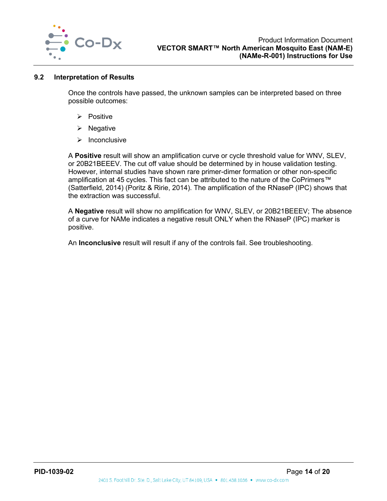

#### <span id="page-14-0"></span>**9.2 Interpretation of Results**

Once the controls have passed, the unknown samples can be interpreted based on three possible outcomes:

- $\triangleright$  Positive
- $\triangleright$  Negative
- $\triangleright$  Inconclusive

A **Positive** result will show an amplification curve or cycle threshold value for WNV, SLEV, or 20B21BEEEV. The cut off value should be determined by in house validation testing. However, internal studies have shown rare primer-dimer formation or other non-specific amplification at 45 cycles. This fact can be attributed to the nature of the CoPrimers™ (Satterfield, 2014) (Poritz & Ririe, 2014). The amplification of the RNaseP (IPC) shows that the extraction was successful.

A **Negative** result will show no amplification for WNV, SLEV, or 20B21BEEEV; The absence of a curve for NAMe indicates a negative result ONLY when the RNaseP (IPC) marker is positive.

An **Inconclusive** result will result if any of the controls fail. See troubleshooting.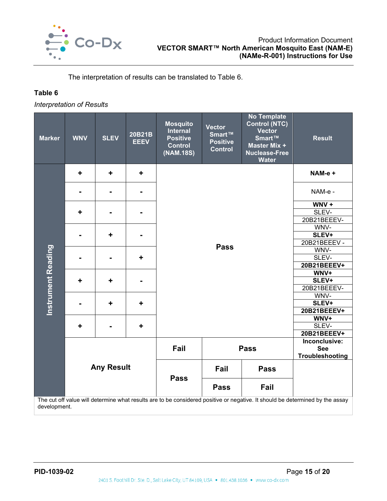

The interpretation of results can be translated to [Table 6.](#page-15-0)

## <span id="page-15-0"></span>**Table 6**

*Interpretation of Results*

| <b>Marker</b>             | <b>WNV</b> | <b>SLEV</b>       | 20B21B<br><b>EEEV</b> | <b>Mosquito</b><br><b>Internal</b><br><b>Positive</b><br><b>Control</b><br>(NAM.18S) | <b>Vector</b><br>Smart™<br><b>Positive</b><br><b>Control</b> | <b>No Template</b><br><b>Control (NTC)</b><br><b>Vector</b><br>Smart™<br>Master Mix +<br><b>Nuclease-Free</b><br><b>Water</b> | <b>Result</b>                                                                                                                 |
|---------------------------|------------|-------------------|-----------------------|--------------------------------------------------------------------------------------|--------------------------------------------------------------|-------------------------------------------------------------------------------------------------------------------------------|-------------------------------------------------------------------------------------------------------------------------------|
|                           | ÷          | ÷                 | ٠                     |                                                                                      |                                                              |                                                                                                                               | NAM-e +                                                                                                                       |
|                           |            |                   |                       |                                                                                      |                                                              |                                                                                                                               | NAM-e -<br>$WNV +$                                                                                                            |
|                           |            |                   |                       |                                                                                      |                                                              |                                                                                                                               |                                                                                                                               |
|                           | ٠          |                   |                       |                                                                                      |                                                              |                                                                                                                               | SLEV-                                                                                                                         |
|                           |            |                   |                       |                                                                                      |                                                              |                                                                                                                               | 20B21BEEEV-                                                                                                                   |
|                           |            |                   |                       |                                                                                      |                                                              |                                                                                                                               | WNV-                                                                                                                          |
|                           | ٠          |                   |                       |                                                                                      |                                                              |                                                                                                                               | SLEV+                                                                                                                         |
|                           |            |                   |                       |                                                                                      |                                                              |                                                                                                                               | 20B21BEEEV -                                                                                                                  |
| <b>Instrument Reading</b> |            |                   |                       | <b>Pass</b>                                                                          |                                                              |                                                                                                                               | WNV-                                                                                                                          |
|                           |            |                   | ٠                     |                                                                                      |                                                              |                                                                                                                               | SLEV-                                                                                                                         |
|                           |            |                   |                       |                                                                                      |                                                              |                                                                                                                               | 20B21BEEEV+                                                                                                                   |
|                           |            |                   |                       |                                                                                      |                                                              |                                                                                                                               | WNV+<br>SLEV+                                                                                                                 |
|                           | ٠          | ÷                 |                       |                                                                                      |                                                              |                                                                                                                               |                                                                                                                               |
|                           |            |                   |                       |                                                                                      |                                                              |                                                                                                                               | 20B21BEEEV-                                                                                                                   |
|                           |            |                   |                       |                                                                                      |                                                              |                                                                                                                               | WNV-                                                                                                                          |
|                           |            | ٠                 | ٠                     |                                                                                      |                                                              |                                                                                                                               | SLEV+                                                                                                                         |
|                           |            |                   |                       |                                                                                      |                                                              |                                                                                                                               | 20B21BEEEV+                                                                                                                   |
|                           |            |                   |                       |                                                                                      |                                                              |                                                                                                                               | WNV+                                                                                                                          |
|                           | ٠<br>÷     |                   |                       | SLEV-                                                                                |                                                              |                                                                                                                               |                                                                                                                               |
|                           |            |                   |                       |                                                                                      |                                                              |                                                                                                                               | 20B21BEEEV+                                                                                                                   |
|                           |            |                   |                       |                                                                                      |                                                              |                                                                                                                               | Inconclusive:                                                                                                                 |
|                           |            |                   |                       | Fail                                                                                 | <b>Pass</b>                                                  |                                                                                                                               | <b>See</b>                                                                                                                    |
|                           |            |                   |                       |                                                                                      |                                                              |                                                                                                                               | Troubleshooting                                                                                                               |
|                           |            | <b>Any Result</b> |                       | Fail                                                                                 |                                                              | <b>Pass</b>                                                                                                                   |                                                                                                                               |
|                           |            |                   |                       |                                                                                      | <b>Pass</b><br><b>Pass</b>                                   | Fail                                                                                                                          |                                                                                                                               |
| development.              |            |                   |                       |                                                                                      |                                                              |                                                                                                                               | The cut off value will determine what results are to be considered positive or negative. It should be determined by the assay |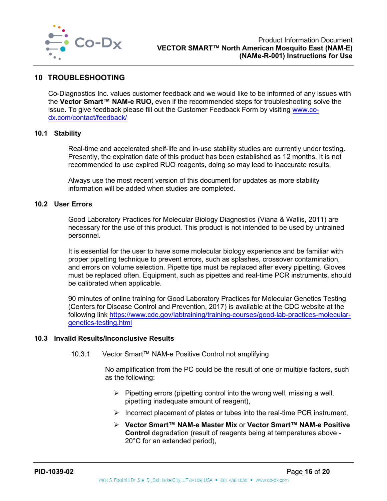

#### <span id="page-16-0"></span>**10 TROUBLESHOOTING**

Co-Diagnostics Inc. values customer feedback and we would like to be informed of any issues with the **Vector Smart™ NAM-e RUO,** even if the recommended steps for troubleshooting solve the issue. To give feedback please fill out the Customer Feedback Form by visiting [www.co](http://www.co-dx.com/contact/feedback/)[dx.com/contact/feedback/](http://www.co-dx.com/contact/feedback/)

#### <span id="page-16-1"></span>**10.1 Stability**

Real-time and accelerated shelf-life and in-use stability studies are currently under testing. Presently, the expiration date of this product has been established as 12 months. It is not recommended to use expired RUO reagents, doing so may lead to inaccurate results.

Always use the most recent version of this document for updates as more stability information will be added when studies are completed.

#### <span id="page-16-2"></span>**10.2 User Errors**

Good Laboratory Practices for Molecular Biology Diagnostics (Viana & Wallis, 2011) are necessary for the use of this product. This product is not intended to be used by untrained personnel.

It is essential for the user to have some molecular biology experience and be familiar with proper pipetting technique to prevent errors, such as splashes, crossover contamination, and errors on volume selection. Pipette tips must be replaced after every pipetting. Gloves must be replaced often. Equipment, such as pipettes and real-time PCR instruments, should be calibrated when applicable.

90 minutes of online training for Good Laboratory Practices for Molecular Genetics Testing (Centers for Disease Control and Prevention, 2017) is available at the CDC website at the following link [https://www.cdc.gov/labtraining/training-courses/good-lab-practices-molecular](https://www.cdc.gov/labtraining/training-courses/good-lab-practices-molecular-genetics-testing.html)[genetics-testing.html](https://www.cdc.gov/labtraining/training-courses/good-lab-practices-molecular-genetics-testing.html)

#### <span id="page-16-3"></span>**10.3 Invalid Results/Inconclusive Results**

10.3.1 Vector Smart™ NAM-e Positive Control not amplifying

No amplification from the PC could be the result of one or multiple factors, such as the following:

- $\triangleright$  Pipetting errors (pipetting control into the wrong well, missing a well, pipetting inadequate amount of reagent),
- $\triangleright$  Incorrect placement of plates or tubes into the real-time PCR instrument,
- **Vector Smart™ NAM-e Master Mix** or **Vector Smart™ NAM-e Positive Control** degradation (result of reagents being at temperatures above - 20°C for an extended period),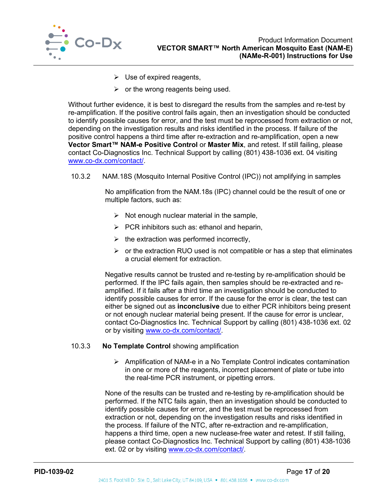

- $\triangleright$  Use of expired reagents.
- $\triangleright$  or the wrong reagents being used.

Without further evidence, it is best to disregard the results from the samples and re-test by re-amplification. If the positive control fails again, then an investigation should be conducted to identify possible causes for error, and the test must be reprocessed from extraction or not, depending on the investigation results and risks identified in the process. If failure of the positive control happens a third time after re-extraction and re-amplification, open a new **Vector Smart™ NAM-e Positive Control** or **Master Mix**, and retest. If still failing, please contact Co-Diagnostics Inc. Technical Support by calling (801) 438-1036 ext. 04 visiting [www.co-dx.com/contact/.](http://www.co-dx.com/contact/)

10.3.2 NAM.18S (Mosquito Internal Positive Control (IPC)) not amplifying in samples

No amplification from the NAM.18s (IPC) channel could be the result of one or multiple factors, such as:

- $\triangleright$  Not enough nuclear material in the sample,
- $\triangleright$  PCR inhibitors such as: ethanol and heparin,
- $\triangleright$  the extraction was performed incorrectly,
- $\triangleright$  or the extraction RUO used is not compatible or has a step that eliminates a crucial element for extraction.

Negative results cannot be trusted and re-testing by re-amplification should be performed. If the IPC fails again, then samples should be re-extracted and reamplified. If it fails after a third time an investigation should be conducted to identify possible causes for error. If the cause for the error is clear, the test can either be signed out as **inconclusive** due to either PCR inhibitors being present or not enough nuclear material being present. If the cause for error is unclear, contact Co-Diagnostics Inc. Technical Support by calling (801) 438-1036 ext. 02 or by visiting [www.co-dx.com/contact/.](http://www.co-dx.com/contact/)

#### 10.3.3 **No Template Control** showing amplification

 $\triangleright$  Amplification of NAM-e in a No Template Control indicates contamination in one or more of the reagents, incorrect placement of plate or tube into the real-time PCR instrument, or pipetting errors.

None of the results can be trusted and re-testing by re-amplification should be performed. If the NTC fails again, then an investigation should be conducted to identify possible causes for error, and the test must be reprocessed from extraction or not, depending on the investigation results and risks identified in the process. If failure of the NTC, after re-extraction and re-amplification, happens a third time, open a new nuclease-free water and retest. If still failing, please contact Co-Diagnostics Inc. Technical Support by calling (801) 438-1036 ext. 02 or by visiting [www.co-dx.com/contact/.](http://www.co-dx.com/contact/)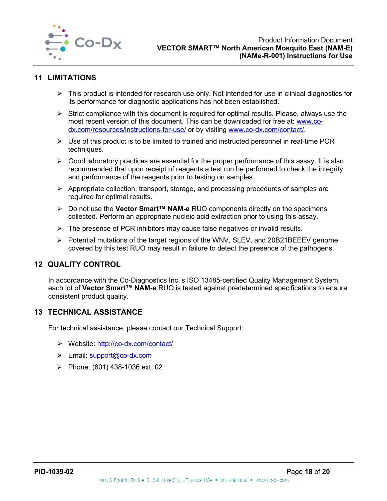

#### <span id="page-18-0"></span>**11 LIMITATIONS**

- $\triangleright$  This product is intended for research use only. Not intended for use in clinical diagnostics for its performance for diagnostic applications has not been established.
- $\triangleright$  Strict compliance with this document is required for optimal results. Please, always use the most recent version of this document. This can be downloaded for free at: [www.co](http://www.co-dx.com/resources/instructions-for-use/)[dx.com/resources/instructions-for-use/](http://www.co-dx.com/resources/instructions-for-use/) or by visiting [www.co-dx.com/contact/.](http://www.co-dx.com/contact/)
- $\triangleright$  Use of this product is to be limited to trained and instructed personnel in real-time PCR techniques.
- $\triangleright$  Good laboratory practices are essential for the proper performance of this assay. It is also recommended that upon receipt of reagents a test run be performed to check the integrity, and performance of the reagents prior to testing on samples.
- $\triangleright$  Appropriate collection, transport, storage, and processing procedures of samples are required for optimal results.
- Do not use the **Vector Smart™ NAM-e** RUO components directly on the specimens collected. Perform an appropriate nucleic acid extraction prior to using this assay.
- $\triangleright$  The presence of PCR inhibitors may cause false negatives or invalid results.
- ▶ Potential mutations of the target regions of the WNV, SLEV, and 20B21BEEEV genome covered by this test RUO may result in failure to detect the presence of the pathogens.

## <span id="page-18-1"></span>**12 QUALITY CONTROL**

In accordance with the Co-Diagnostics Inc.'s ISO 13485-certified Quality Management System, each lot of **Vector Smart™ NAM-e** RUO is tested against predetermined specifications to ensure consistent product quality.

#### <span id="page-18-2"></span>**13 TECHNICAL ASSISTANCE**

For technical assistance, please contact our Technical Support:

- Website:<http://co-dx.com/contact/>
- $\triangleright$  Email: [support@co-dx.com](mailto:%20support@co-dx.com)
- Phone:  $(801)$  438-1036 ext. 02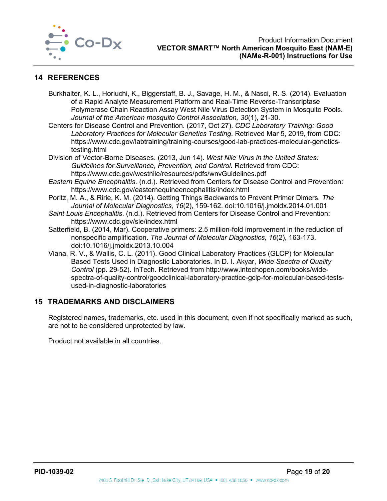

## <span id="page-19-0"></span>**14 REFERENCES**

- Burkhalter, K. L., Horiuchi, K., Biggerstaff, B. J., Savage, H. M., & Nasci, R. S. (2014). Evaluation of a Rapid Analyte Measurement Platform and Real-Time Reverse-Transcriptase Polymerase Chain Reaction Assay West Nile Virus Detection System in Mosquito Pools. *Journal of the American mosquito Control Association, 30*(1), 21-30.
- Centers for Disease Control and Prevention. (2017, Oct 27). *CDC Laboratory Training: Good Laboratory Practices for Molecular Genetics Testing*. Retrieved Mar 5, 2019, from CDC: https://www.cdc.gov/labtraining/training-courses/good-lab-practices-molecular-geneticstesting.html
- Division of Vector-Borne Diseases. (2013, Jun 14). *West Nile Virus in the United States: Guidelines for Surveillance, Prevention, and Control.* Retrieved from CDC: https://www.cdc.gov/westnile/resources/pdfs/wnvGuidelines.pdf
- *Eastern Equine Encephalitis*. (n.d.). Retrieved from Centers for Disease Control and Prevention: https://www.cdc.gov/easternequineencephalitis/index.html
- Poritz, M. A., & Ririe, K. M. (2014). Getting Things Backwards to Prevent Primer Dimers. *The Journal of Molecular Diagnostics, 16*(2), 159-162. doi:10.1016/j.jmoldx.2014.01.001
- *Saint Louis Encephalitis*. (n.d.). Retrieved from Centers for Disease Control and Prevention: https://www.cdc.gov/sle/index.html
- Satterfield, B. (2014, Mar). Cooperative primers: 2.5 million-fold improvement in the reduction of nonspecific amplification. *The Journal of Molecular Diagnostics, 16*(2), 163-173. doi:10.1016/j.jmoldx.2013.10.004
- Viana, R. V., & Wallis, C. L. (2011). Good Clinical Laboratory Practices (GLCP) for Molecular Based Tests Used in Diagnostic Laboratories. In D. I. Akyar, *Wide Spectra of Quality Control* (pp. 29-52). InTech. Retrieved from http://www.intechopen.com/books/widespectra-of-quality-control/goodclinical-laboratory-practice-gclp-for-molecular-based-testsused-in-diagnostic-laboratories

#### <span id="page-19-1"></span>**15 TRADEMARKS AND DISCLAIMERS**

Registered names, trademarks, etc. used in this document, even if not specifically marked as such, are not to be considered unprotected by law.

Product not available in all countries.